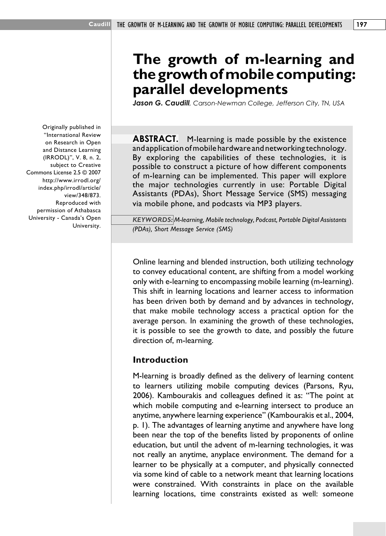# **The growth of m-learning and the growth of mobile computing: parallel developments**

*Jason G. Caudill, Carson-Newman College, Jefferson City, TN, USA*

**ABSTRACT.** M-learning is made possible by the existence and application of mobile hardware and networking technology. By exploring the capabilities of these technologies, it is possible to construct a picture of how different components of m-learning can be implemented. This paper will explore the major technologies currently in use: Portable Digital Assistants (PDAs), Short Message Service (SMS) messaging via mobile phone, and podcasts via MP3 players.

*KEYWORDS: M-learning, Mobile technology, Podcast, Portable Digital Assistants (PDAs), Short Message Service (SMS)*

Online learning and blended instruction, both utilizing technology to convey educational content, are shifting from a model working only with e-learning to encompassing mobile learning (m-learning). This shift in learning locations and learner access to information has been driven both by demand and by advances in technology, that make mobile technology access a practical option for the average person. In examining the growth of these technologies, it is possible to see the growth to date, and possibly the future direction of, m-learning.

# **Introduction**

M-learning is broadly defined as the delivery of learning content to learners utilizing mobile computing devices (Parsons, Ryu, 2006). Kambourakis and colleagues defined it as: "The point at which mobile computing and e-learning intersect to produce an anytime, anywhere learning experience" (Kambourakis et al., 2004, p. 1). The advantages of learning anytime and anywhere have long been near the top of the benefits listed by proponents of online education, but until the advent of m-learning technologies, it was not really an anytime, anyplace environment. The demand for a learner to be physically at a computer, and physically connected via some kind of cable to a network meant that learning locations were constrained. With constraints in place on the available learning locations, time constraints existed as well: someone

Originally published in "International Review on Research in Open and Distance Learning (IRRODL)", V. 8, n. 2, subject to Creative Commons License 2.5 © 2007 http://www.irrodl.org/ index.php/irrodl/article/ view/348/873. Reproduced with permission of Athabasca University - Canada's Open University.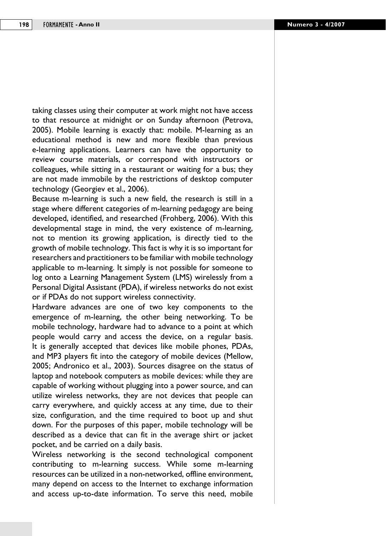taking classes using their computer at work might not have access to that resource at midnight or on Sunday afternoon (Petrova, 2005). Mobile learning is exactly that: mobile. M-learning as an educational method is new and more flexible than previous e-learning applications. Learners can have the opportunity to review course materials, or correspond with instructors or colleagues, while sitting in a restaurant or waiting for a bus; they are not made immobile by the restrictions of desktop computer technology (Georgiev et al., 2006).

Because m-learning is such a new field, the research is still in a stage where different categories of m-learning pedagogy are being developed, identified, and researched (Frohberg, 2006). With this developmental stage in mind, the very existence of m-learning, not to mention its growing application, is directly tied to the growth of mobile technology. This fact is why it is so important for researchers and practitioners to be familiar with mobile technology applicable to m-learning. It simply is not possible for someone to log onto a Learning Management System (LMS) wirelessly from a Personal Digital Assistant (PDA), if wireless networks do not exist or if PDAs do not support wireless connectivity.

Hardware advances are one of two key components to the emergence of m-learning, the other being networking. To be mobile technology, hardware had to advance to a point at which people would carry and access the device, on a regular basis. It is generally accepted that devices like mobile phones, PDAs, and MP3 players fit into the category of mobile devices (Mellow, 2005; Andronico et al., 2003). Sources disagree on the status of laptop and notebook computers as mobile devices: while they are capable of working without plugging into a power source, and can utilize wireless networks, they are not devices that people can carry everywhere, and quickly access at any time, due to their size, configuration, and the time required to boot up and shut down. For the purposes of this paper, mobile technology will be described as a device that can fit in the average shirt or jacket pocket, and be carried on a daily basis.

Wireless networking is the second technological component contributing to m-learning success. While some m-learning resources can be utilized in a non-networked, offline environment, many depend on access to the Internet to exchange information and access up-to-date information. To serve this need, mobile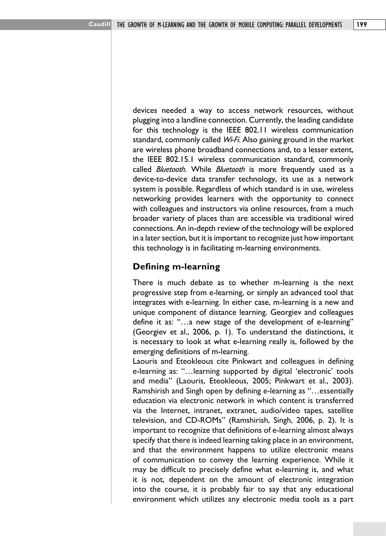devices needed a way to access network resources, without plugging into a landline connection. Currently, the leading candidate for this technology is the IEEE 802.11 wireless communication standard, commonly called *Wi-Fi*. Also gaining ground in the market are wireless phone broadband connections and, to a lesser extent, the IEEE 802.15.1 wireless communication standard, commonly called *Bluetooth*. While *Bluetooth* is more frequently used as a device-to-device data transfer technology, its use as a network system is possible. Regardless of which standard is in use, wireless networking provides learners with the opportunity to connect with colleagues and instructors via online resources, from a much broader variety of places than are accessible via traditional wired connections. An in-depth review of the technology will be explored in a later section, but it is important to recognize just how important this technology is in facilitating m-learning environments.

# **Defining m-learning**

There is much debate as to whether m-learning is the next progressive step from e-learning, or simply an advanced tool that integrates with e-learning. In either case, m-learning is a new and unique component of distance learning. Georgiev and colleagues define it as: "…a new stage of the development of e-learning" (Georgiev et al., 2006, p. 1). To understand the distinctions, it is necessary to look at what e-learning really is, followed by the emerging definitions of m-learning.

Laouris and Eteokleous cite Pinkwart and colleagues in defining e-learning as: "…learning supported by digital 'electronic' tools and media" (Laouris, Eteokleous, 2005; Pinkwart et al., 2003). Ramshirish and Singh open by defining e-learning as "…essentially education via electronic network in which content is transferred via the Internet, intranet, extranet, audio/video tapes, satellite television, and CD-ROMs" (Ramshirish, Singh, 2006, p. 2). It is important to recognize that definitions of e-learning almost always specify that there is indeed learning taking place in an environment, and that the environment happens to utilize electronic means of communication to convey the learning experience. While it may be difficult to precisely define what e-learning is, and what it is not, dependent on the amount of electronic integration into the course, it is probably fair to say that any educational environment which utilizes any electronic media tools as a part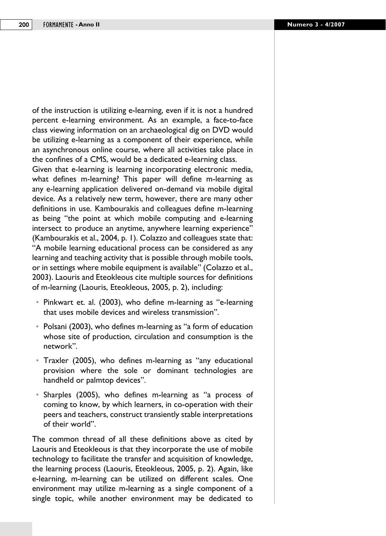of the instruction is utilizing e-learning, even if it is not a hundred percent e-learning environment. As an example, a face-to-face class viewing information on an archaeological dig on DVD would be utilizing e-learning as a component of their experience, while an asynchronous online course, where all activities take place in the confines of a CMS, would be a dedicated e-learning class.

Given that e-learning is learning incorporating electronic media, what defines m-learning? This paper will define m-learning as any e-learning application delivered on-demand via mobile digital device. As a relatively new term, however, there are many other definitions in use. Kambourakis and colleagues define m-learning as being "the point at which mobile computing and e-learning intersect to produce an anytime, anywhere learning experience" (Kambourakis et al., 2004, p. 1). Colazzo and colleagues state that: "A mobile learning educational process can be considered as any learning and teaching activity that is possible through mobile tools, or in settings where mobile equipment is available" (Colazzo et al., 2003). Laouris and Eteokleous cite multiple sources for definitions of m-learning (Laouris, Eteokleous, 2005, p. 2), including:

- Pinkwart et. al. (2003), who define m-learning as "e-learning that uses mobile devices and wireless transmission".
- Polsani (2003), who defines m-learning as "a form of education whose site of production, circulation and consumption is the network".
- Traxler (2005), who defines m-learning as "any educational provision where the sole or dominant technologies are handheld or palmtop devices".
- Sharples (2005), who defines m-learning as "a process of coming to know, by which learners, in co-operation with their peers and teachers, construct transiently stable interpretations of their world".

The common thread of all these definitions above as cited by Laouris and Eteokleous is that they incorporate the use of mobile technology to facilitate the transfer and acquisition of knowledge, the learning process (Laouris, Eteokleous, 2005, p. 2). Again, like e-learning, m-learning can be utilized on different scales. One environment may utilize m-learning as a single component of a single topic, while another environment may be dedicated to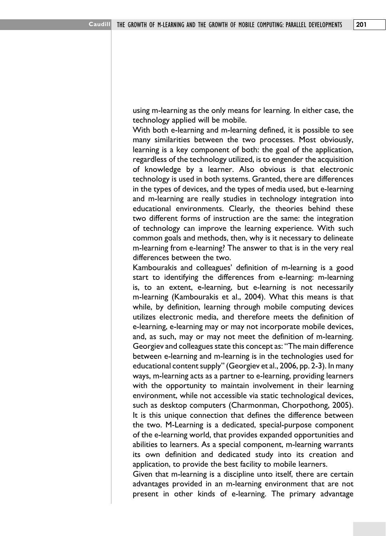using m-learning as the only means for learning. In either case, the technology applied will be mobile.

With both e-learning and m-learning defined, it is possible to see many similarities between the two processes. Most obviously, learning is a key component of both: the goal of the application, regardless of the technology utilized, is to engender the acquisition of knowledge by a learner. Also obvious is that electronic technology is used in both systems. Granted, there are differences in the types of devices, and the types of media used, but e-learning and m-learning are really studies in technology integration into educational environments. Clearly, the theories behind these two different forms of instruction are the same: the integration of technology can improve the learning experience. With such common goals and methods, then, why is it necessary to delineate m-learning from e-learning? The answer to that is in the very real differences between the two.

Kambourakis and colleagues' definition of m-learning is a good start to identifying the differences from e-learning: m-learning is, to an extent, e-learning, but e-learning is not necessarily m-learning (Kambourakis et al., 2004). What this means is that while, by definition, learning through mobile computing devices utilizes electronic media, and therefore meets the definition of e-learning, e-learning may or may not incorporate mobile devices, and, as such, may or may not meet the definition of m-learning. Georgiev and colleagues state this concept as: "The main difference between e-learning and m-learning is in the technologies used for educational content supply" (Georgiev et al., 2006, pp. 2-3). In many ways, m-learning acts as a partner to e-learning, providing learners with the opportunity to maintain involvement in their learning environment, while not accessible via static technological devices, such as desktop computers (Charmonman, Chorpothong, 2005). It is this unique connection that defines the difference between the two. M-Learning is a dedicated, special-purpose component of the e-learning world, that provides expanded opportunities and abilities to learners. As a special component, m-learning warrants its own definition and dedicated study into its creation and application, to provide the best facility to mobile learners.

Given that m-learning is a discipline unto itself, there are certain advantages provided in an m-learning environment that are not present in other kinds of e-learning. The primary advantage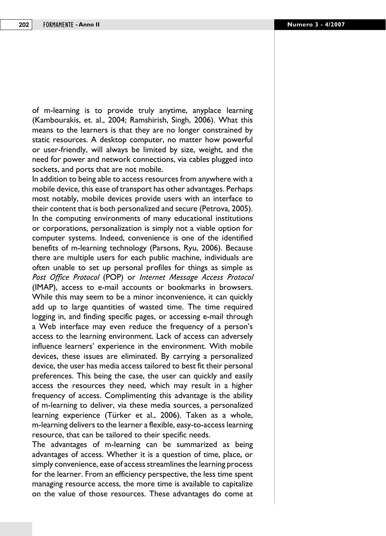of m-learning is to provide truly anytime, anyplace learning (Kambourakis, et. al., 2004; Ramshirish, Singh, 2006). What this means to the learners is that they are no longer constrained by static resources. A desktop computer, no matter how powerful or user-friendly, will always be limited by size, weight, and the need for power and network connections, via cables plugged into sockets, and ports that are not mobile.

In addition to being able to access resources from anywhere with a mobile device, this ease of transport has other advantages. Perhaps most notably, mobile devices provide users with an interface to their content that is both personalized and secure (Petrova, 2005). In the computing environments of many educational institutions or corporations, personalization is simply not a viable option for computer systems. Indeed, convenience is one of the identified benefits of m-learning technology (Parsons, Ryu, 2006). Because there are multiple users for each public machine, individuals are often unable to set up personal profiles for things as simple as *Post Office Protocol* (POP) or *Internet Message Access Protocol* (IMAP), access to e-mail accounts or bookmarks in browsers. While this may seem to be a minor inconvenience, it can quickly add up to large quantities of wasted time. The time required logging in, and finding specific pages, or accessing e-mail through a Web interface may even reduce the frequency of a person's access to the learning environment. Lack of access can adversely influence learners' experience in the environment. With mobile devices, these issues are eliminated. By carrying a personalized device, the user has media access tailored to best fit their personal preferences. This being the case, the user can quickly and easily access the resources they need, which may result in a higher frequency of access. Complimenting this advantage is the ability of m-learning to deliver, via these media sources, a personalized learning experience (Türker et al., 2006). Taken as a whole, m-learning delivers to the learner a flexible, easy-to-access learning resource, that can be tailored to their specific needs.

The advantages of m-learning can be summarized as being advantages of access. Whether it is a question of time, place, or simply convenience, ease of access streamlines the learning process for the learner. From an efficiency perspective, the less time spent managing resource access, the more time is available to capitalize on the value of those resources. These advantages do come at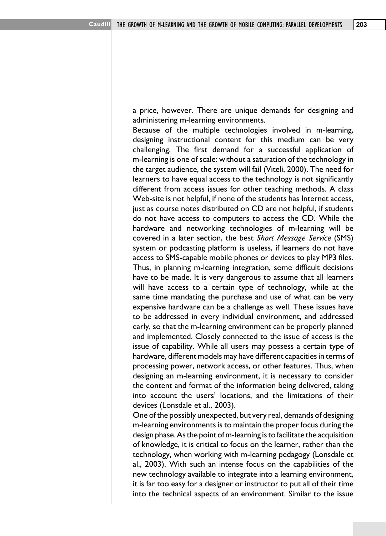a price, however. There are unique demands for designing and administering m-learning environments.

Because of the multiple technologies involved in m-learning, designing instructional content for this medium can be very challenging. The first demand for a successful application of m-learning is one of scale: without a saturation of the technology in the target audience, the system will fail (Viteli, 2000). The need for learners to have equal access to the technology is not significantly different from access issues for other teaching methods. A class Web-site is not helpful, if none of the students has Internet access, just as course notes distributed on CD are not helpful, if students do not have access to computers to access the CD. While the hardware and networking technologies of m-learning will be covered in a later section, the best *Short Message Service* (SMS) system or podcasting platform is useless, if learners do not have access to SMS-capable mobile phones or devices to play MP3 files. Thus, in planning m-learning integration, some difficult decisions have to be made. It is very dangerous to assume that all learners will have access to a certain type of technology, while at the same time mandating the purchase and use of what can be very expensive hardware can be a challenge as well. These issues have to be addressed in every individual environment, and addressed early, so that the m-learning environment can be properly planned and implemented. Closely connected to the issue of access is the issue of capability. While all users may possess a certain type of hardware, different models may have different capacities in terms of processing power, network access, or other features. Thus, when designing an m-learning environment, it is necessary to consider the content and format of the information being delivered, taking into account the users' locations, and the limitations of their devices (Lonsdale et al., 2003).

One of the possibly unexpected, but very real, demands of designing m-learning environments is to maintain the proper focus during the design phase. As the point of m-learning is to facilitate the acquisition of knowledge, it is critical to focus on the learner, rather than the technology, when working with m-learning pedagogy (Lonsdale et al., 2003). With such an intense focus on the capabilities of the new technology available to integrate into a learning environment, it is far too easy for a designer or instructor to put all of their time into the technical aspects of an environment. Similar to the issue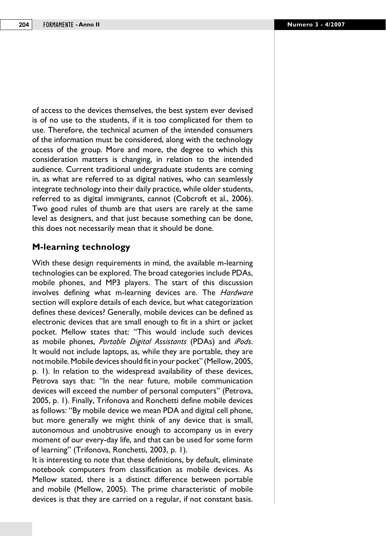of access to the devices themselves, the best system ever devised is of no use to the students, if it is too complicated for them to use. Therefore, the technical acumen of the intended consumers of the information must be considered, along with the technology access of the group. More and more, the degree to which this consideration matters is changing, in relation to the intended audience. Current traditional undergraduate students are coming in, as what are referred to as digital natives, who can seamlessly integrate technology into their daily practice, while older students, referred to as digital immigrants, cannot (Cobcroft et al., 2006). Two good rules of thumb are that users are rarely at the same level as designers, and that just because something can be done, this does not necessarily mean that it should be done.

## **M-learning technology**

With these design requirements in mind, the available m-learning technologies can be explored. The broad categories include PDAs, mobile phones, and MP3 players. The start of this discussion involves defining what m-learning devices are. The *Hardware* section will explore details of each device, but what categorization defines these devices? Generally, mobile devices can be defined as electronic devices that are small enough to fit in a shirt or jacket pocket. Mellow states that: "This would include such devices as mobile phones, *Portable Digital Assistants* (PDAs) and *iPods*. It would not include laptops, as, while they are portable, they are not mobile. Mobile devices should fit in your pocket" (Mellow, 2005, p. 1). In relation to the widespread availability of these devices, Petrova says that: "In the near future, mobile communication devices will exceed the number of personal computers" (Petrova, 2005, p. 1). Finally, Trifonova and Ronchetti define mobile devices as follows: "By mobile device we mean PDA and digital cell phone, but more generally we might think of any device that is small, autonomous and unobtrusive enough to accompany us in every moment of our every-day life, and that can be used for some form of learning" (Trifonova, Ronchetti, 2003, p. 1).

It is interesting to note that these definitions, by default, eliminate notebook computers from classification as mobile devices. As Mellow stated, there is a distinct difference between portable and mobile (Mellow, 2005). The prime characteristic of mobile devices is that they are carried on a regular, if not constant basis.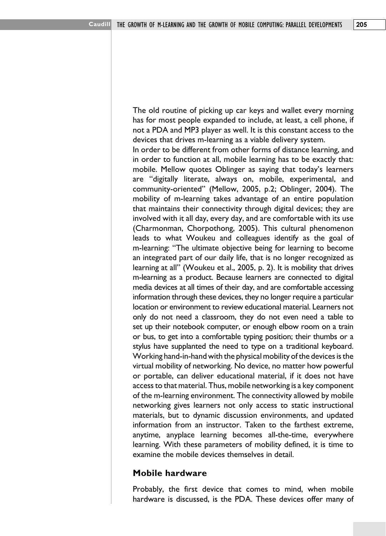The old routine of picking up car keys and wallet every morning has for most people expanded to include, at least, a cell phone, if not a PDA and MP3 player as well. It is this constant access to the devices that drives m-learning as a viable delivery system.

In order to be different from other forms of distance learning, and in order to function at all, mobile learning has to be exactly that: mobile. Mellow quotes Oblinger as saying that today's learners are "digitally literate, always on, mobile, experimental, and community-oriented" (Mellow, 2005, p.2; Oblinger, 2004). The mobility of m-learning takes advantage of an entire population that maintains their connectivity through digital devices; they are involved with it all day, every day, and are comfortable with its use (Charmonman, Chorpothong, 2005). This cultural phenomenon leads to what Woukeu and colleagues identify as the goal of m-learning: "The ultimate objective being for learning to become an integrated part of our daily life, that is no longer recognized as learning at all" (Woukeu et al., 2005, p. 2). It is mobility that drives m-learning as a product. Because learners are connected to digital media devices at all times of their day, and are comfortable accessing information through these devices, they no longer require a particular location or environment to review educational material. Learners not only do not need a classroom, they do not even need a table to set up their notebook computer, or enough elbow room on a train or bus, to get into a comfortable typing position; their thumbs or a stylus have supplanted the need to type on a traditional keyboard. Working hand-in-hand with the physical mobility of the devices is the virtual mobility of networking. No device, no matter how powerful or portable, can deliver educational material, if it does not have access to that material. Thus, mobile networking is a key component of the m-learning environment. The connectivity allowed by mobile networking gives learners not only access to static instructional materials, but to dynamic discussion environments, and updated information from an instructor. Taken to the farthest extreme, anytime, anyplace learning becomes all-the-time, everywhere learning. With these parameters of mobility defined, it is time to examine the mobile devices themselves in detail.

### **Mobile hardware**

Probably, the first device that comes to mind, when mobile hardware is discussed, is the PDA. These devices offer many of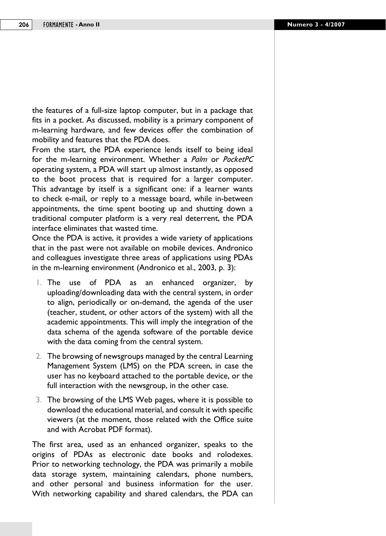the features of a full-size laptop computer, but in a package that fits in a pocket. As discussed, mobility is a primary component of m-learning hardware, and few devices offer the combination of mobility and features that the PDA does.

From the start, the PDA experience lends itself to being ideal for the m-learning environment. Whether a *Palm* or *PocketPC* operating system, a PDA will start up almost instantly, as opposed to the boot process that is required for a larger computer. This advantage by itself is a significant one: if a learner wants to check e-mail, or reply to a message board, while in-between appointments, the time spent booting up and shutting down a traditional computer platform is a very real deterrent, the PDA interface eliminates that wasted time.

Once the PDA is active, it provides a wide variety of applications that in the past were not available on mobile devices. Andronico and colleagues investigate three areas of applications using PDAs in the m-learning environment (Andronico et al., 2003, p. 3):

- 1. The use of PDA as an enhanced organizer, by uploading/downloading data with the central system, in order to align, periodically or on-demand, the agenda of the user (teacher, student, or other actors of the system) with all the academic appointments. This will imply the integration of the data schema of the agenda software of the portable device with the data coming from the central system.
- 2. The browsing of newsgroups managed by the central Learning Management System (LMS) on the PDA screen, in case the user has no keyboard attached to the portable device, or the full interaction with the newsgroup, in the other case.
- 3. The browsing of the LMS Web pages, where it is possible to download the educational material, and consult it with specific viewers (at the moment, those related with the Office suite and with Acrobat PDF format).

The first area, used as an enhanced organizer, speaks to the origins of PDAs as electronic date books and rolodexes. Prior to networking technology, the PDA was primarily a mobile data storage system, maintaining calendars, phone numbers, and other personal and business information for the user. With networking capability and shared calendars, the PDA can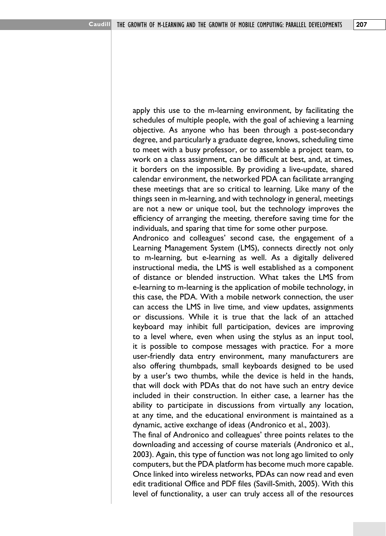apply this use to the m-learning environment, by facilitating the schedules of multiple people, with the goal of achieving a learning objective. As anyone who has been through a post-secondary degree, and particularly a graduate degree, knows, scheduling time to meet with a busy professor, or to assemble a project team, to work on a class assignment, can be difficult at best, and, at times, it borders on the impossible. By providing a live-update, shared calendar environment, the networked PDA can facilitate arranging these meetings that are so critical to learning. Like many of the things seen in m-learning, and with technology in general, meetings are not a new or unique tool, but the technology improves the efficiency of arranging the meeting, therefore saving time for the individuals, and sparing that time for some other purpose.

Andronico and colleagues' second case, the engagement of a Learning Management System (LMS), connects directly not only to m-learning, but e-learning as well. As a digitally delivered instructional media, the LMS is well established as a component of distance or blended instruction. What takes the LMS from e-learning to m-learning is the application of mobile technology, in this case, the PDA. With a mobile network connection, the user can access the LMS in live time, and view updates, assignments or discussions. While it is true that the lack of an attached keyboard may inhibit full participation, devices are improving to a level where, even when using the stylus as an input tool, it is possible to compose messages with practice. For a more user-friendly data entry environment, many manufacturers are also offering thumbpads, small keyboards designed to be used by a user's two thumbs, while the device is held in the hands, that will dock with PDAs that do not have such an entry device included in their construction. In either case, a learner has the ability to participate in discussions from virtually any location, at any time, and the educational environment is maintained as a dynamic, active exchange of ideas (Andronico et al., 2003).

The final of Andronico and colleagues' three points relates to the downloading and accessing of course materials (Andronico et al., 2003). Again, this type of function was not long ago limited to only computers, but the PDA platform has become much more capable. Once linked into wireless networks, PDAs can now read and even edit traditional Office and PDF files (Savill-Smith, 2005). With this level of functionality, a user can truly access all of the resources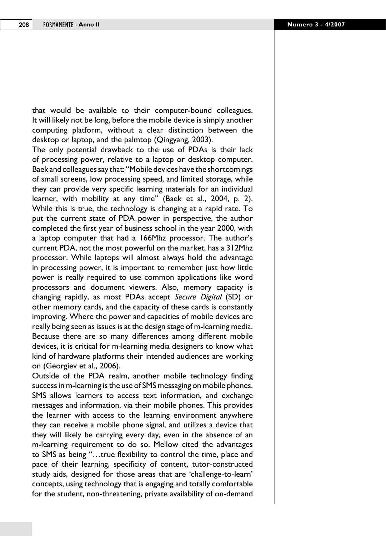that would be available to their computer-bound colleagues. It will likely not be long, before the mobile device is simply another computing platform, without a clear distinction between the desktop or laptop, and the palmtop (Qingyang, 2003).

The only potential drawback to the use of PDAs is their lack of processing power, relative to a laptop or desktop computer. Baek and colleagues say that: "Mobile devices have the shortcomings of small screens, low processing speed, and limited storage, while they can provide very specific learning materials for an individual learner, with mobility at any time" (Baek et al., 2004, p. 2). While this is true, the technology is changing at a rapid rate. To put the current state of PDA power in perspective, the author completed the first year of business school in the year 2000, with a laptop computer that had a 166Mhz processor. The author's current PDA, not the most powerful on the market, has a 312Mhz processor. While laptops will almost always hold the advantage in processing power, it is important to remember just how little power is really required to use common applications like word processors and document viewers. Also, memory capacity is changing rapidly, as most PDAs accept *Secure Digital* (SD) or other memory cards, and the capacity of these cards is constantly improving. Where the power and capacities of mobile devices are really being seen as issues is at the design stage of m-learning media. Because there are so many differences among different mobile devices, it is critical for m-learning media designers to know what kind of hardware platforms their intended audiences are working on (Georgiev et al., 2006).

Outside of the PDA realm, another mobile technology finding success in m-learning is the use of SMS messaging on mobile phones. SMS allows learners to access text information, and exchange messages and information, via their mobile phones. This provides the learner with access to the learning environment anywhere they can receive a mobile phone signal, and utilizes a device that they will likely be carrying every day, even in the absence of an m-learning requirement to do so. Mellow cited the advantages to SMS as being "…true flexibility to control the time, place and pace of their learning, specificity of content, tutor-constructed study aids, designed for those areas that are 'challenge-to-learn' concepts, using technology that is engaging and totally comfortable for the student, non-threatening, private availability of on-demand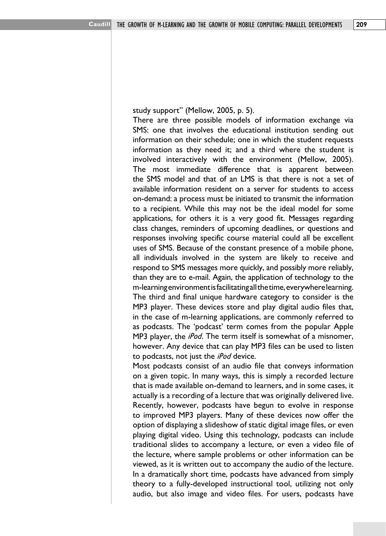#### study support" (Mellow, 2005, p. 5).

There are three possible models of information exchange via SMS: one that involves the educational institution sending out information on their schedule; one in which the student requests information as they need it; and a third where the student is involved interactively with the environment (Mellow, 2005). The most immediate difference that is apparent between the SMS model and that of an LMS is that there is not a set of available information resident on a server for students to access on-demand: a process must be initiated to transmit the information to a recipient. While this may not be the ideal model for some applications, for others it is a very good fit. Messages regarding class changes, reminders of upcoming deadlines, or questions and responses involving specific course material could all be excellent uses of SMS. Because of the constant presence of a mobile phone, all individuals involved in the system are likely to receive and respond to SMS messages more quickly, and possibly more reliably, than they are to e-mail. Again, the application of technology to the m-learning environment is facilitating all the time, everywhere learning. The third and final unique hardware category to consider is the MP3 player. These devices store and play digital audio files that, in the case of m-learning applications, are commonly referred to as podcasts. The 'podcast' term comes from the popular Apple MP3 player, the *iPod*. The term itself is somewhat of a misnomer, however. Any device that can play MP3 files can be used to listen to podcasts, not just the *iPod* device.

Most podcasts consist of an audio file that conveys information on a given topic. In many ways, this is simply a recorded lecture that is made available on-demand to learners, and in some cases, it actually is a recording of a lecture that was originally delivered live. Recently, however, podcasts have begun to evolve in response to improved MP3 players. Many of these devices now offer the option of displaying a slideshow of static digital image files, or even playing digital video. Using this technology, podcasts can include traditional slides to accompany a lecture, or even a video file of the lecture, where sample problems or other information can be viewed, as it is written out to accompany the audio of the lecture. In a dramatically short time, podcasts have advanced from simply theory to a fully-developed instructional tool, utilizing not only audio, but also image and video files. For users, podcasts have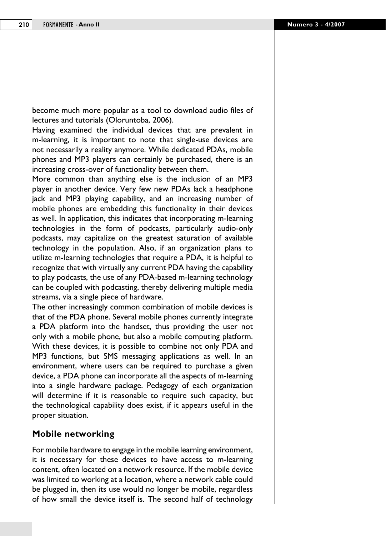become much more popular as a tool to download audio files of lectures and tutorials (Oloruntoba, 2006).

Having examined the individual devices that are prevalent in m-learning, it is important to note that single-use devices are not necessarily a reality anymore. While dedicated PDAs, mobile phones and MP3 players can certainly be purchased, there is an increasing cross-over of functionality between them.

More common than anything else is the inclusion of an MP3 player in another device. Very few new PDAs lack a headphone jack and MP3 playing capability, and an increasing number of mobile phones are embedding this functionality in their devices as well. In application, this indicates that incorporating m-learning technologies in the form of podcasts, particularly audio-only podcasts, may capitalize on the greatest saturation of available technology in the population. Also, if an organization plans to utilize m-learning technologies that require a PDA, it is helpful to recognize that with virtually any current PDA having the capability to play podcasts, the use of any PDA-based m-learning technology can be coupled with podcasting, thereby delivering multiple media streams, via a single piece of hardware.

The other increasingly common combination of mobile devices is that of the PDA phone. Several mobile phones currently integrate a PDA platform into the handset, thus providing the user not only with a mobile phone, but also a mobile computing platform. With these devices, it is possible to combine not only PDA and MP3 functions, but SMS messaging applications as well. In an environment, where users can be required to purchase a given device, a PDA phone can incorporate all the aspects of m-learning into a single hardware package. Pedagogy of each organization will determine if it is reasonable to require such capacity, but the technological capability does exist, if it appears useful in the proper situation.

#### **Mobile networking**

For mobile hardware to engage in the mobile learning environment, it is necessary for these devices to have access to m-learning content, often located on a network resource. If the mobile device was limited to working at a location, where a network cable could be plugged in, then its use would no longer be mobile, regardless of how small the device itself is. The second half of technology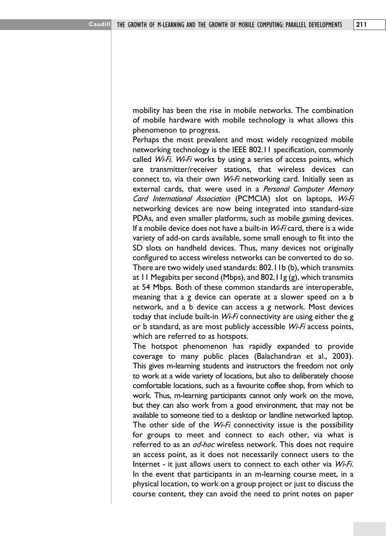mobility has been the rise in mobile networks. The combination of mobile hardware with mobile technology is what allows this phenomenon to progress.

Perhaps the most prevalent and most widely recognized mobile networking technology is the IEEE 802.11 specification, commonly called *Wi-Fi*. *Wi-Fi* works by using a series of access points, which are transmitter/receiver stations, that wireless devices can connect to, via their own *Wi-Fi* networking card. Initially seen as external cards, that were used in a *Personal Computer Memory Card International Association* (PCMCIA) slot on laptops, *Wi-Fi* networking devices are now being integrated into standard-size PDAs, and even smaller platforms, such as mobile gaming devices. If a mobile device does not have a built-in *Wi-Fi* card, there is a wide variety of add-on cards available, some small enough to fit into the SD slots on handheld devices. Thus, many devices not originally configured to access wireless networks can be converted to do so. There are two widely used standards: 802.11b (b), which transmits at 11 Megabits per second (Mbps), and 802.11g  $(g)$ , which transmits at 54 Mbps. Both of these common standards are interoperable, meaning that a g device can operate at a slower speed on a b network, and a b device can access a g network. Most devices today that include built-in *Wi-Fi* connectivity are using either the g or b standard, as are most publicly accessible *Wi-Fi* access points, which are referred to as hotspots.

The hotspot phenomenon has rapidly expanded to provide coverage to many public places (Balachandran et al., 2003). This gives m-learning students and instructors the freedom not only to work at a wide variety of locations, but also to deliberately choose comfortable locations, such as a favourite coffee shop, from which to work. Thus, m-learning participants cannot only work on the move, but they can also work from a good environment, that may not be available to someone tied to a desktop or landline networked laptop. The other side of the *Wi-Fi* connectivity issue is the possibility for groups to meet and connect to each other, via what is referred to as an *ad-hoc* wireless network. This does not require an access point, as it does not necessarily connect users to the Internet - it just allows users to connect to each other via *Wi-Fi*. In the event that participants in an m-learning course meet, in a physical location, to work on a group project or just to discuss the course content, they can avoid the need to print notes on paper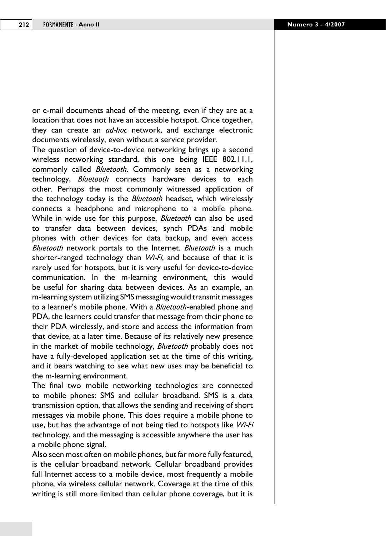or e-mail documents ahead of the meeting, even if they are at a location that does not have an accessible hotspot. Once together, they can create an *ad-hoc* network, and exchange electronic documents wirelessly, even without a service provider.

The question of device-to-device networking brings up a second wireless networking standard, this one being IEEE 802.11.1, commonly called *Bluetooth*. Commonly seen as a networking technology, *Bluetooth* connects hardware devices to each other. Perhaps the most commonly witnessed application of the technology today is the *Bluetooth* headset, which wirelessly connects a headphone and microphone to a mobile phone. While in wide use for this purpose, *Bluetooth* can also be used to transfer data between devices, synch PDAs and mobile phones with other devices for data backup, and even access *Bluetooth* network portals to the Internet. *Bluetooth* is a much shorter-ranged technology than *Wi-Fi*, and because of that it is rarely used for hotspots, but it is very useful for device-to-device communication. In the m-learning environment, this would be useful for sharing data between devices. As an example, an m-learning system utilizing SMS messaging would transmit messages to a learner's mobile phone. With a *Bluetooth*-enabled phone and PDA, the learners could transfer that message from their phone to their PDA wirelessly, and store and access the information from that device, at a later time. Because of its relatively new presence in the market of mobile technology, *Bluetooth* probably does not have a fully-developed application set at the time of this writing, and it bears watching to see what new uses may be beneficial to the m-learning environment.

The final two mobile networking technologies are connected to mobile phones: SMS and cellular broadband. SMS is a data transmission option, that allows the sending and receiving of short messages via mobile phone. This does require a mobile phone to use, but has the advantage of not being tied to hotspots like *Wi-Fi* technology, and the messaging is accessible anywhere the user has a mobile phone signal.

Also seen most often on mobile phones, but far more fully featured, is the cellular broadband network. Cellular broadband provides full Internet access to a mobile device, most frequently a mobile phone, via wireless cellular network. Coverage at the time of this writing is still more limited than cellular phone coverage, but it is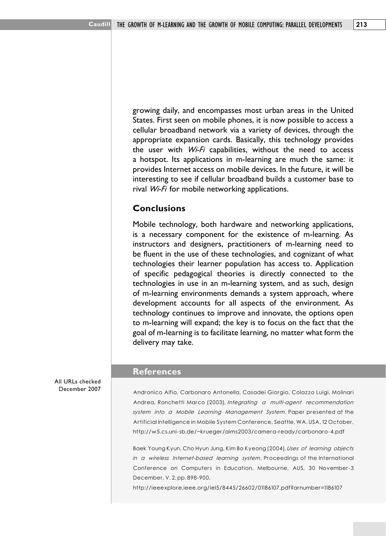growing daily, and encompasses most urban areas in the United States. First seen on mobile phones, it is now possible to access a cellular broadband network via a variety of devices, through the appropriate expansion cards. Basically, this technology provides the user with *Wi-Fi* capabilities, without the need to access a hotspot. Its applications in m-learning are much the same: it provides Internet access on mobile devices. In the future, it will be interesting to see if cellular broadband builds a customer base to rival *Wi-Fi* for mobile networking applications.

# **Conclusions**

Mobile technology, both hardware and networking applications, is a necessary component for the existence of m-learning. As instructors and designers, practitioners of m-learning need to be fluent in the use of these technologies, and cognizant of what technologies their learner population has access to. Application of specific pedagogical theories is directly connected to the technologies in use in an m-learning system, and as such, design of m-learning environments demands a system approach, where development accounts for all aspects of the environment. As technology continues to improve and innovate, the options open to m-learning will expand; the key is to focus on the fact that the goal of m-learning is to facilitate learning, no matter what form the delivery may take.

#### **References**

Andronico Alfio, Carbonaro Antonella, Casadei Giorgio, Colazzo Luigi, Molinari Andrea, Ronchetti Marco (2003), *Integrating a multi-agent recommendation system into a Mobile Learning Management System*. Paper presented at the Artificial Intelligence in Mobile System Conference, Seattle, WA, USA, 12 October, http://w5.cs.uni-sb.de/~krueger/aims2003/camera-ready/carbonaro-4.pdf

Baek Young Kyun, Cho Hyun Jung, Kim Bo Kyeong (2004), *Uses of learning objects in a wireless Internet-based learning system*. Proceedings of the International Conference on Computers in Education, Melbourne, AUS, 30 November-3 December, V. 2, pp. 898-900,

http://ieeexplore.ieee.org/iel5/8445/26602/01186107.pdf?arnumber=1186107

All URLs checked December 2007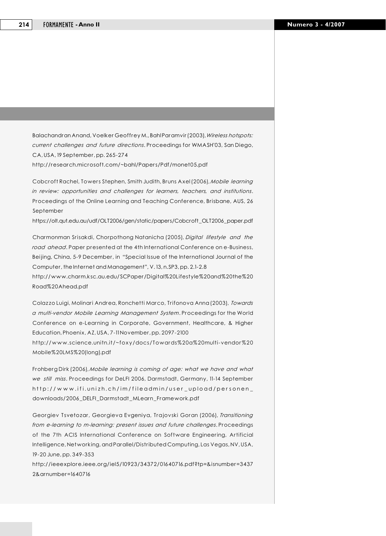Balachandran Anand, Voelker Geoffrey M., Bahl Paramvir (2003), *Wireless hotspots: current challenges and future directions*. Proceedings for WMASH'03, San Diego, CA, USA, 19 September, pp. 265-274 http://research.microsoft.com/~bahl/Papers/Pdf/monet05.pdf

Cobcroft Rachel, Towers Stephen, Smith Judith, Bruns Axel (2006), *Mobile learning in review: opportunities and challenges for learners, teachers, and institutions*. Proceedings of the Online Learning and Teaching Conference, Brisbane, AUS, 26 September

https://olt.qut.edu.au/udf/OLT2006/gen/static/papers/Cobcroft\_OLT2006\_paper.pdf

Charmonman Srisakdi, Chorpothong Natanicha (2005), *Digital lifestyle and the road ahead*. Paper presented at the 4th International Conference on e-Business, Beijing, China, 5-9 December, in "Special Issue of the International Journal of the Computer, the Internet and Management", V. 13, n.SP3, pp. 2.1-2.8

http://www.charm.ksc.au.edu/SCPaper/Digital%20Lifestyle%20and%20the%20 Road%20Ahead.pdf

Colazzo Luigi, Molinari Andrea, Ronchetti Marco, Trifonova Anna (2003), *Towards a multi-vendor Mobile Learning Management System*. Proceedings for the World Conference on e-Learning in Corporate, Government, Healthcare, & Higher Education, Phoenix, AZ, USA, 7-11 November, pp. 2097-2100

http://www.science.unitn.it/~foxy/docs/Towards%20a%20multi-vendor%20 Mobile%20LMS%20(long).pdf

Frohberg Dirk (2006), *Mobile learning is coming of age: what we have and what we still miss*. Proceedings for DeLFI 2006, Darmstadt, Germany, 11-14 September http://www.ifi.unizh.ch/im/fileadmin/user\_upload/personen\_ downloads/2006\_DELFI\_Darmstadt\_MLearn\_Framework.pdf

Georgiev Tsvetozar, Georgieva Evgeniya, Trajovski Goran (2006), *Transitioning from e-learning to m-learning: present issues and future challenges*. Proceedings of the 7th ACIS International Conference on Software Engineering, Artificial Intelligence, Networking, and Parallel/Distributed Computing, Las Vegas, NV, USA, 19-20 June, pp. 349-353

http://ieeexplore.ieee.org/iel5/10923/34372/01640716.pdf?tp=&isnumber=3437 2&arnumber=1640716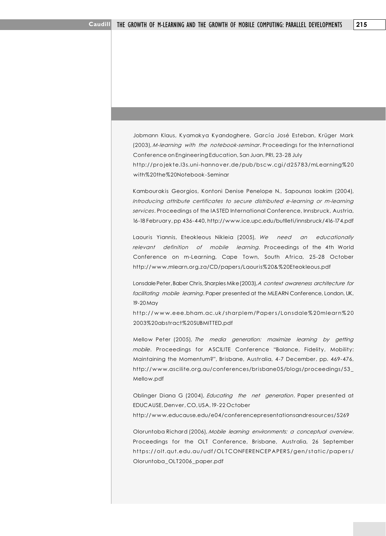Jobmann Klaus, Kyamakya Kyandoghere, García José Esteban, Krüger Mark (2003), *M-learning with the notebook-seminar*. Proceedings for the International Conference on Engineering Education, San Juan, PRI, 23-28 July http://projekte.l3s.uni-hannover.de/pub/bscw.cgi/d25783/mLearning%20 with%20the%20Notebook-Seminar

Kambourakis Georgios, Kontoni Denise Penelope N., Sapounas Ioakim (2004), *Introducing attribute certificates to secure distributed e-learning or m-learning services*. Proceedings of the IASTED International Conference, Innsbruck, Austria, 16-18 February, pp 436-440, http://www.ice.upc.edu/butlleti/innsbruck/416-174.pdf

Laouris Yiannis, Eteokleous Nikleia (2005), *We need an educationally relevant definition of mobile learning.* Proceedings of the 4th World Conference on m-Learning, Cape Town, South Africa, 25-28 October http://www.mlearn.org.za/CD/papers/Laouris%20&%20Eteokleous.pdf

Lonsdale Peter, Baber Chris, Sharples Mike (2003), *A context awareness architecture for facilitating mobile learning*. Paper presented at the MLEARN Conference, London, UK, 19-20 May

http://www.eee.bham.ac.uk/sharplem/Papers/Lonsdale%20mlearn%20 2003%20abstract%20SUBMITTED.pdf

Mellow Peter (2005), *The media generation: maximize learning by getting mobile*. Proceedings for ASCILITE Conference "Balance, Fidelity, Mobility: Maintaining the Momentum?", Brisbane, Australia, 4-7 December, pp. 469-476, http://www.ascilite.org.au/conferences/brisbane05/blogs/proceedings/53\_ Mellow.pdf

Oblinger Diana G (2004), *Educating the net generation*. Paper presented at EDUCAUSE, Denver, CO, USA, 19-22 October http://www.educause.edu/e04/conferencepresentationsandresources/5269

Oloruntoba Richard (2006), *Mobile learning environments: a conceptual overview*. Proceedings for the OLT Conference, Brisbane, Australia, 26 September https://olt.qut.edu.au/udf/OLTCONFERENCEPAPERS/gen/static/papers/ Oloruntoba\_OLT2006\_paper.pdf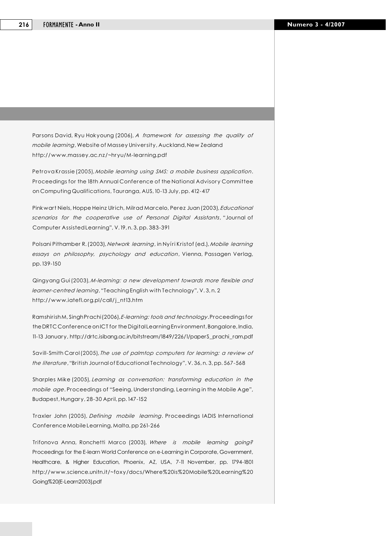Parsons David, Ryu Hokyoung (2006), *A framework for assessing the quality of mobile learning*, Website of Massey University, Auckland, New Zealand http://www.massey.ac.nz/~hryu/M-learning.pdf

Petrova Krassie (2005), *Mobile learning using SMS: a mobile business application*. Proceedings for the 18th Annual Conference of the National Advisory Committee on Computing Qualifications, Tauranga, AUS, 10-13 July, pp. 412-417

Pinkwart Niels, Hoppe Heinz Ulrich, Milrad Marcelo, Perez Juan (2003), *Educational scenarios for the cooperative use of Personal Digital Assistants*, "Journal of Computer Assisted Learning", V. 19, n. 3, pp. 383-391

Polsani Pithamber R. (2003), *Network learning*, in Nyíri Kristof (ed.), *Mobile learning essays on philosophy, psychology and education*, Vienna, Passagen Verlag, pp. 139-150

Qingyang Gui (2003), *M-learning: a new development towards more flexible and learner-centred learning*, "Teaching English with Technology", V. 3, n. 2 http://www.iatefl.org.pl/call/j\_nt13.htm

Ramshirish M, Singh Prachi (2006), *E-learning: tools and technology*. Proceedings for the DRTC Conference on ICT for the Digital Learning Environment, Bangalore, India, 11-13 January, http://drtc.isibang.ac.in/bitstream/1849/226/1/paperS\_prachi\_ram.pdf

Savill-Smith Carol (2005), *The use of palmtop computers for learning: a review of the literature*, "British Journal of Educational Technology", V. 36, n. 3, pp. 567-568

Sharples Mike (2005), *Learning as conversation: transforming education in the mobile age*. Proceedings of "Seeing, Understanding, Learning in the Mobile Age", Budapest, Hungary, 28-30 April, pp. 147-152

Traxler John (2005), *Defining mobile learning*. Proceedings IADIS International Conference Mobile Learning, Malta, pp 261-266

Trifonova Anna, Ronchetti Marco (2003), *Where is mobile learning going?* Proceedings for the E-learn World Conference on e-Learning in Corporate, Government, Healthcare, & Higher Education, Phoenix, AZ, USA, 7-11 November, pp. 1794-1801 http://www.science.unitn.it/~foxy/docs/Where%20is%20Mobile%20Learning%20 Going%20(E-Learn2003).pdf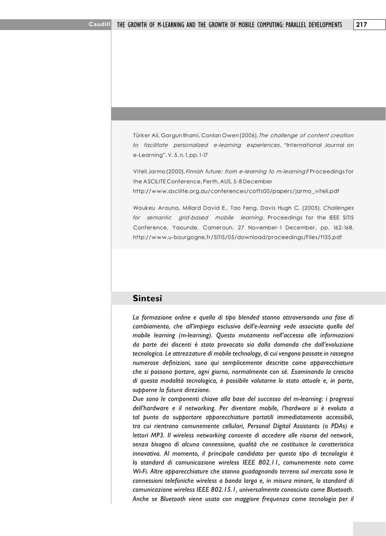Türker Ali, Gorgun Ilhami, Conlan Owen (2006), *The challenge of content creation to facilitate personalized e-learning experiences*, "International Journal on e-Learning", V. 5, n. 1, pp. 1-17

Viteli Jarmo (2000), *Finnish future: from e-learning to m-learning?* Proceedings for the ASCILITE Conference, Perth, AUS, 5-8 December

http://www.ascilite.org.au/conferences/coffs00/papers/jarmo\_viteli.pdf

Woukeu Arouna, Millard David E., Tao Feng, Davis Hugh C. (2005), *Challenges for semantic grid-based mobile learning*. Proceedings for the IEEE SITIS Conference, Yaounde, Cameroun, 27 November-1 December, pp. 162-168, http://www.u-bourgogne.fr/SITIS/05/download/proceedings/Files/f135.pdf

#### **Sintesi**

*La formazione online e quella di tipo blended stanno attraversando una fase di cambiamento, che all'impiego esclusivo dell'e-learning vede associato quello del mobile learning (m-learning). Questo mutamento nell'accesso alle informazioni da parte dei discenti è stato provocato sia dalla domanda che dall'evoluzione tecnologica. Le attrezzature di mobile technology, di cui vengono passate in rassegna numerose definizioni, sono qui semplicemente descritte come apparecchiature che si possono portare, ogni giorno, normalmente con sé. Esaminando la crescita di questa modalità tecnologica, è possibile valutarne lo stato attuale e, in parte, supporne la futura direzione.*

*Due sono le componenti chiave alla base del successo del m-learning: i progressi dell'hardware e il networking. Per diventare mobile, l'hardware si è evoluto a tal punto da supportare apparecchiature portatili immediatamente accessibili, tra cui rientrano comunemente cellulari, Personal Digital Assistants (o PDAs) e lettori MP3. Il wireless networking consente di accedere alle risorse del network, senza bisogno di alcuna connessione, qualità che ne costituisce la caratteristica innovativa. Al momento, il principale candidato per questo tipo di tecnologia è lo standard di comunicazione wireless IEEE 802.11, comunemente noto come Wi-Fi. Altre apparecchiature che stanno guadagnando terreno sul mercato sono le connessioni telefoniche wireless a banda larga e, in misura minore, lo standard di comunicazione wireless IEEE 802.15.1, universalmente conosciuto come Bluetooth. Anche se Bluetooth viene usato con maggiore frequenza come tecnologia per il*